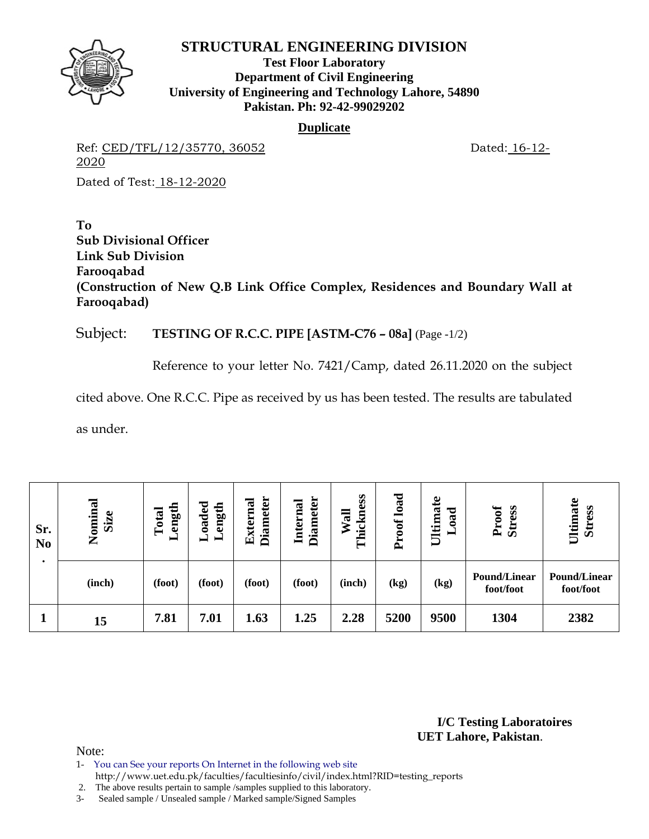

**Test Floor Laboratory Department of Civil Engineering University of Engineering and Technology Lahore, 54890 Pakistan. Ph: 92-42-99029202** 

### **Duplicate**

Ref: CED/TFL/12/35770, 36052 Dated: 16-12-2020

Dated of Test: 18-12-2020

**To Sub Divisional Officer Link Sub Division Farooqabad (Construction of New Q.B Link Office Complex, Residences and Boundary Wall at Farooqabad)** 

# Subject: **TESTING OF R.C.C. PIPE [ASTM-C76 – 08a]** (Page -1/2)

Reference to your letter No. 7421/Camp, dated 26.11.2020 on the subject

cited above. One R.C.C. Pipe as received by us has been tested. The results are tabulated

as under.

| Sr.<br>N <sub>0</sub> | Nominal<br><b>Size</b> | ength<br>Total<br>⊢ | bəpeo<br>ength<br>━<br>— | <b>Diameter</b><br>External | <b>Diameter</b><br>Internal | Thickness<br>Wall | load<br>Proof | £<br>Ultima<br>ರ<br>ឱ | <b>Stress</b><br>Proof           | Ultimate<br><b>Stress</b>        |
|-----------------------|------------------------|---------------------|--------------------------|-----------------------------|-----------------------------|-------------------|---------------|-----------------------|----------------------------------|----------------------------------|
|                       | (inch)                 | (foot)              | (foot)                   | (foot)                      | (foot)                      | (inch)            | (kg)          | (kg)                  | <b>Pound/Linear</b><br>foot/foot | <b>Pound/Linear</b><br>foot/foot |
|                       | 15                     | 7.81                | 7.01                     | 1.63                        | 1.25                        | 2.28              | 5200          | 9500                  | 1304                             | 2382                             |

**I/C Testing Laboratoires UET Lahore, Pakistan**.

- 1- You can See your reports On Internet in the following web site http://www.uet.edu.pk/faculties/facultiesinfo/civil/index.html?RID=testing\_reports
- 2. The above results pertain to sample /samples supplied to this laboratory.
- 3- Sealed sample / Unsealed sample / Marked sample/Signed Samples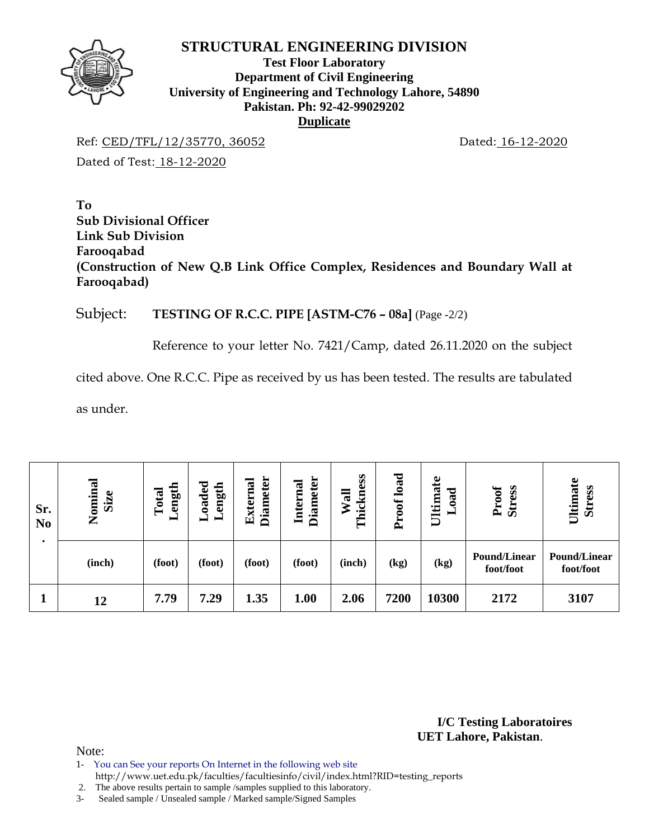

### **Test Floor Laboratory Department of Civil Engineering University of Engineering and Technology Lahore, 54890 Pakistan. Ph: 92-42-99029202 Duplicate**

Ref: CED/TFL/12/35770, 36052 Dated: 16-12-2020 Dated of Test: 18-12-2020

**To Sub Divisional Officer Link Sub Division Farooqabad (Construction of New Q.B Link Office Complex, Residences and Boundary Wall at Farooqabad)** 

### Subject: **TESTING OF R.C.C. PIPE [ASTM-C76 – 08a]** (Page -2/2)

Reference to your letter No. 7421/Camp, dated 26.11.2020 on the subject

cited above. One R.C.C. Pipe as received by us has been tested. The results are tabulated

as under.

| Sr.<br>N <sub>0</sub> | Nominal<br>Size | ength<br>Total<br>$\blacksquare$ | $\rm Load$ ed<br>ength | <b>Diameter</b><br><b>External</b> | <b>Diameter</b><br>Internal | Thickness<br>Wall | load<br>oof<br>Ě | Ultimate<br>ా<br>$\tilde{a}$ | Proof<br><b>Stress</b>           | Ultimate<br><b>Stress</b> |
|-----------------------|-----------------|----------------------------------|------------------------|------------------------------------|-----------------------------|-------------------|------------------|------------------------------|----------------------------------|---------------------------|
|                       | (inch)          | (foot)                           | (foot)                 | (foot)                             | (foot)                      | (inch)            | (kg)             | (kg)                         | <b>Pound/Linear</b><br>foot/foot | Pound/Linear<br>foot/foot |
|                       | 12              | 7.79                             | 7.29                   | 1.35                               | 1.00                        | 2.06              | 7200             | 10300                        | 2172                             | 3107                      |

**I/C Testing Laboratoires UET Lahore, Pakistan**.

Note:

1- You can See your reports On Internet in the following web site

http://www.uet.edu.pk/faculties/facultiesinfo/civil/index.html?RID=testing\_reports

2. The above results pertain to sample /samples supplied to this laboratory.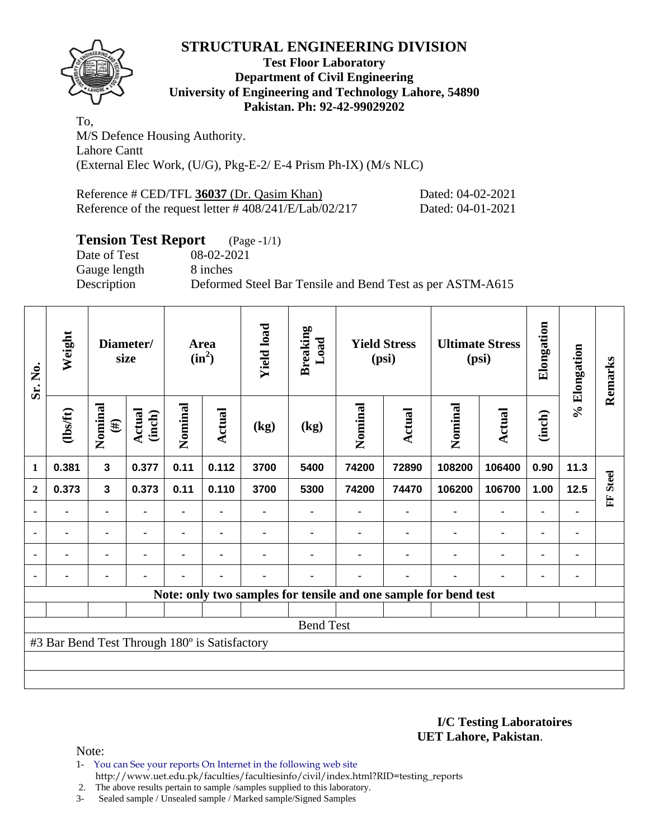

### **Test Floor Laboratory Department of Civil Engineering University of Engineering and Technology Lahore, 54890 Pakistan. Ph: 92-42-99029202**

To, M/S Defence Housing Authority. Lahore Cantt (External Elec Work, (U/G), Pkg-E-2/ E-4 Prism Ph-IX) (M/s NLC)

| Reference # CED/TFL 36037 (Dr. Qasim Khan)                | Dated: 04-02-2021 |
|-----------------------------------------------------------|-------------------|
| Reference of the request letter $\# 408/241/E/Lab/02/217$ | Dated: 04-01-2021 |

# **Tension Test Report** (Page -1/1)

Gauge length 8 inches

Date of Test 08-02-2021 Description Deformed Steel Bar Tensile and Bend Test as per ASTM-A615

| Sr. No.          | Weight                                        | Diameter/<br>size |                  | <b>Area</b><br>$(in^2)$ | <b>Yield load</b> | <b>Breaking</b><br>Load |                  | <b>Yield Stress</b><br>(psi) |               | <b>Ultimate Stress</b><br>(psi)                                 | Elongation     | % Elongation   | Remarks        |              |
|------------------|-----------------------------------------------|-------------------|------------------|-------------------------|-------------------|-------------------------|------------------|------------------------------|---------------|-----------------------------------------------------------------|----------------|----------------|----------------|--------------|
|                  | $\frac{2}{10}$                                | Nominal<br>$(\#)$ | Actual<br>(inch) | Nominal                 | <b>Actual</b>     | (kg)                    | (kg)             | Nominal                      | <b>Actual</b> | Nominal                                                         | <b>Actual</b>  | (inch)         |                |              |
| 1                | 0.381                                         | $\mathbf{3}$      | 0.377            | 0.11                    | 0.112             | 3700                    | 5400             | 74200                        | 72890         | 108200                                                          | 106400         | 0.90           | 11.3           |              |
| $\boldsymbol{2}$ | 0.373                                         | $\mathbf{3}$      | 0.373            | 0.11                    | 0.110             | 3700                    | 5300             | 74200                        | 74470         | 106200                                                          | 106700         | 1.00           | 12.5           | <b>Steel</b> |
|                  |                                               | ۰                 | $\blacksquare$   | ۰                       | $\blacksquare$    |                         |                  |                              | ٠             | $\blacksquare$                                                  | $\blacksquare$ | ۰              |                | E            |
|                  | ۰                                             | ۰                 |                  | ٠                       | ٠                 |                         |                  |                              | ۰             | ٠                                                               | $\blacksquare$ | $\blacksquare$ |                |              |
|                  | ۰                                             | ۰                 | ۰                | $\blacksquare$          | $\blacksquare$    |                         |                  |                              |               | ٠                                                               | $\blacksquare$ | ۰              | $\blacksquare$ |              |
|                  |                                               | ۰                 | $\blacksquare$   | ۰                       | $\blacksquare$    |                         |                  |                              | ۰             |                                                                 | $\blacksquare$ | $\blacksquare$ |                |              |
|                  |                                               |                   |                  |                         |                   |                         |                  |                              |               | Note: only two samples for tensile and one sample for bend test |                |                |                |              |
|                  |                                               |                   |                  |                         |                   |                         |                  |                              |               |                                                                 |                |                |                |              |
|                  |                                               |                   |                  |                         |                   |                         | <b>Bend Test</b> |                              |               |                                                                 |                |                |                |              |
|                  | #3 Bar Bend Test Through 180° is Satisfactory |                   |                  |                         |                   |                         |                  |                              |               |                                                                 |                |                |                |              |
|                  |                                               |                   |                  |                         |                   |                         |                  |                              |               |                                                                 |                |                |                |              |
|                  |                                               |                   |                  |                         |                   |                         |                  |                              |               |                                                                 |                |                |                |              |

**I/C Testing Laboratoires UET Lahore, Pakistan**.

Note:

1- You can See your reports On Internet in the following web site http://www.uet.edu.pk/faculties/facultiesinfo/civil/index.html?RID=testing\_reports

2. The above results pertain to sample /samples supplied to this laboratory.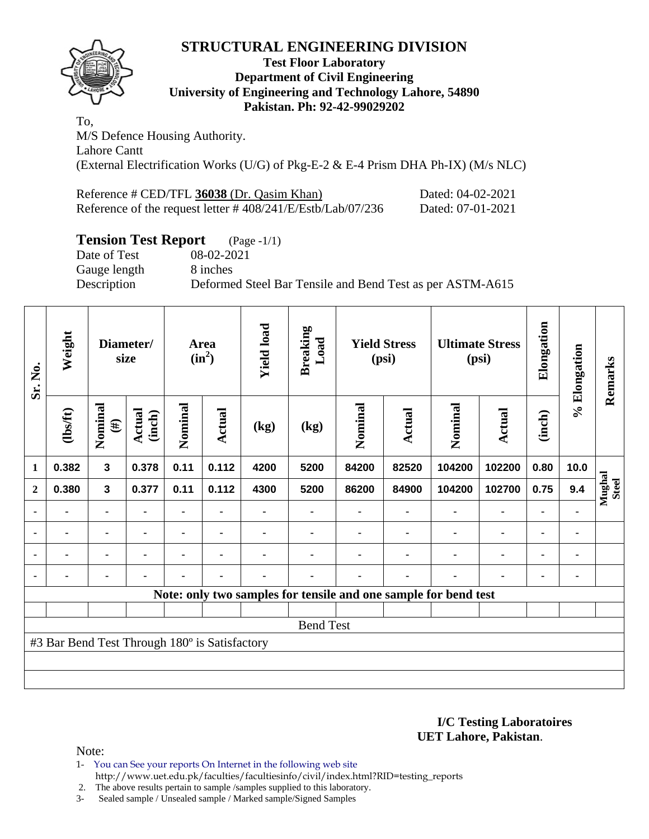

### **Test Floor Laboratory Department of Civil Engineering University of Engineering and Technology Lahore, 54890 Pakistan. Ph: 92-42-99029202**

To, M/S Defence Housing Authority. Lahore Cantt (External Electrification Works (U/G) of Pkg-E-2 & E-4 Prism DHA Ph-IX) (M/s NLC)

| Reference # CED/TFL 36038 (Dr. Qasim Khan)                 | Dated: 04-02-2021 |
|------------------------------------------------------------|-------------------|
| Reference of the request letter #408/241/E/Estb/Lab/07/236 | Dated: 07-01-2021 |

# **Tension Test Report** (Page -1/1)

Gauge length 8 inches

Date of Test 08-02-2021 Description Deformed Steel Bar Tensile and Bend Test as per ASTM-A615

| Sr. No.          | Weight                                        | Diameter/<br>size |                  |                | Area<br>$(in^2)$ | <b>Yield load</b> | <b>Breaking</b><br>Load |                | <b>Yield Stress</b><br>(psi) |                                                                 | <b>Ultimate Stress</b><br>(psi) | Elongation     | % Elongation   | Remarks                |
|------------------|-----------------------------------------------|-------------------|------------------|----------------|------------------|-------------------|-------------------------|----------------|------------------------------|-----------------------------------------------------------------|---------------------------------|----------------|----------------|------------------------|
|                  | (1bsft)                                       | Nominal<br>$(\#)$ | Actual<br>(inch) | Nominal        | Actual           | (kg)              | (kg)                    | Nominal        | Actual                       | Nominal                                                         | Actual                          | (inch)         |                |                        |
| $\mathbf{1}$     | 0.382                                         | 3                 | 0.378            | 0.11           | 0.112            | 4200              | 5200                    | 84200          | 82520                        | 104200                                                          | 102200                          | 0.80           | 10.0           |                        |
| $\boldsymbol{2}$ | 0.380                                         | 3                 | 0.377            | 0.11           | 0.112            | 4300              | 5200                    | 86200          | 84900                        | 104200                                                          | 102700                          | 0.75           | 9.4            | Mughal<br><b>Steel</b> |
| ٠                |                                               |                   |                  |                |                  |                   |                         |                |                              |                                                                 | $\blacksquare$                  | $\blacksquare$ |                |                        |
| $\blacksquare$   | $\blacksquare$                                | $\blacksquare$    | $\blacksquare$   | $\blacksquare$ | $\blacksquare$   |                   |                         |                | $\blacksquare$               | $\blacksquare$                                                  | $\blacksquare$                  | $\blacksquare$ | $\blacksquare$ |                        |
|                  | $\blacksquare$                                | $\blacksquare$    | ٠                | $\blacksquare$ | $\blacksquare$   |                   |                         |                |                              |                                                                 | $\blacksquare$                  | $\blacksquare$ | ۰              |                        |
| $\blacksquare$   | ۰                                             |                   | ٠                | -              | $\blacksquare$   | ۰                 |                         | $\blacksquare$ | ۰                            |                                                                 | ٠                               | $\blacksquare$ | ۰              |                        |
|                  |                                               |                   |                  |                |                  |                   |                         |                |                              | Note: only two samples for tensile and one sample for bend test |                                 |                |                |                        |
|                  |                                               |                   |                  |                |                  |                   |                         |                |                              |                                                                 |                                 |                |                |                        |
|                  |                                               |                   |                  |                |                  |                   | <b>Bend Test</b>        |                |                              |                                                                 |                                 |                |                |                        |
|                  | #3 Bar Bend Test Through 180° is Satisfactory |                   |                  |                |                  |                   |                         |                |                              |                                                                 |                                 |                |                |                        |
|                  |                                               |                   |                  |                |                  |                   |                         |                |                              |                                                                 |                                 |                |                |                        |
|                  |                                               |                   |                  |                |                  |                   |                         |                |                              |                                                                 |                                 |                |                |                        |

**I/C Testing Laboratoires UET Lahore, Pakistan**.

Note:

1- You can See your reports On Internet in the following web site http://www.uet.edu.pk/faculties/facultiesinfo/civil/index.html?RID=testing\_reports

2. The above results pertain to sample /samples supplied to this laboratory.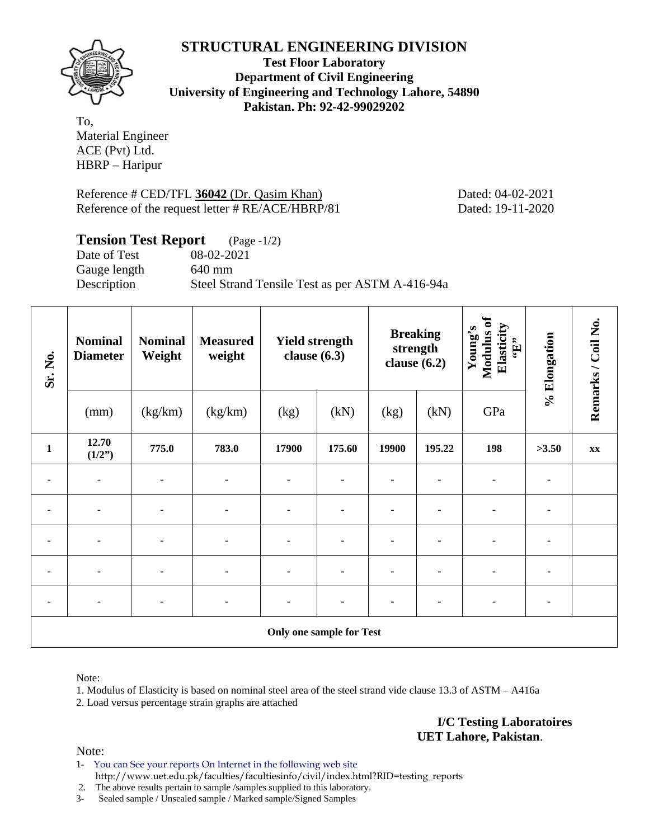

**Test Floor Laboratory Department of Civil Engineering University of Engineering and Technology Lahore, 54890 Pakistan. Ph: 92-42-99029202** 

To, Material Engineer ACE (Pvt) Ltd. HBRP – Haripur

Reference # CED/TFL 36042 (Dr. Qasim Khan) Dated: 04-02-2021 Reference of the request letter # RE/ACE/HBRP/81 Dated: 19-11-2020

### **Tension Test Report** (Page -1/2)

Date of Test 08-02-2021 Gauge length 640 mm

Description Steel Strand Tensile Test as per ASTM A-416-94a

| Sr. No.      | <b>Nominal</b><br><b>Diameter</b> | <b>Nominal</b><br>Weight | <b>Measured</b><br>weight | <b>Yield strength</b><br>clause $(6.3)$ |                                 | <b>Breaking</b><br>clause $(6.2)$ | strength | Modulus of<br>Elasticity<br>Young's<br>$\mathbf{G}$ . | % Elongation | Remarks / Coil No. |
|--------------|-----------------------------------|--------------------------|---------------------------|-----------------------------------------|---------------------------------|-----------------------------------|----------|-------------------------------------------------------|--------------|--------------------|
|              | (mm)                              | (kg/km)                  | (kg/km)                   | (kg)                                    | (kN)                            | (kg)                              | (kN)     | GPa                                                   |              |                    |
| $\mathbf{1}$ | 12.70<br>(1/2")                   | 775.0                    | 783.0                     | 17900                                   | 175.60                          | 19900                             | 195.22   | 198                                                   | >3.50        | XX                 |
|              |                                   |                          |                           |                                         |                                 |                                   |          |                                                       |              |                    |
| ۰            | $\blacksquare$                    | $\blacksquare$           | $\blacksquare$            | $\blacksquare$                          |                                 |                                   |          |                                                       |              |                    |
| ٠            |                                   |                          |                           | $\blacksquare$                          |                                 |                                   |          |                                                       |              |                    |
|              |                                   |                          |                           |                                         |                                 |                                   |          |                                                       |              |                    |
|              |                                   |                          |                           |                                         |                                 |                                   |          |                                                       |              |                    |
|              |                                   |                          |                           |                                         | <b>Only one sample for Test</b> |                                   |          |                                                       |              |                    |

Note:

1. Modulus of Elasticity is based on nominal steel area of the steel strand vide clause 13.3 of ASTM – A416a

2. Load versus percentage strain graphs are attached

**I/C Testing Laboratoires UET Lahore, Pakistan**.

Note:

1- You can See your reports On Internet in the following web site http://www.uet.edu.pk/faculties/facultiesinfo/civil/index.html?RID=testing\_reports

2. The above results pertain to sample /samples supplied to this laboratory.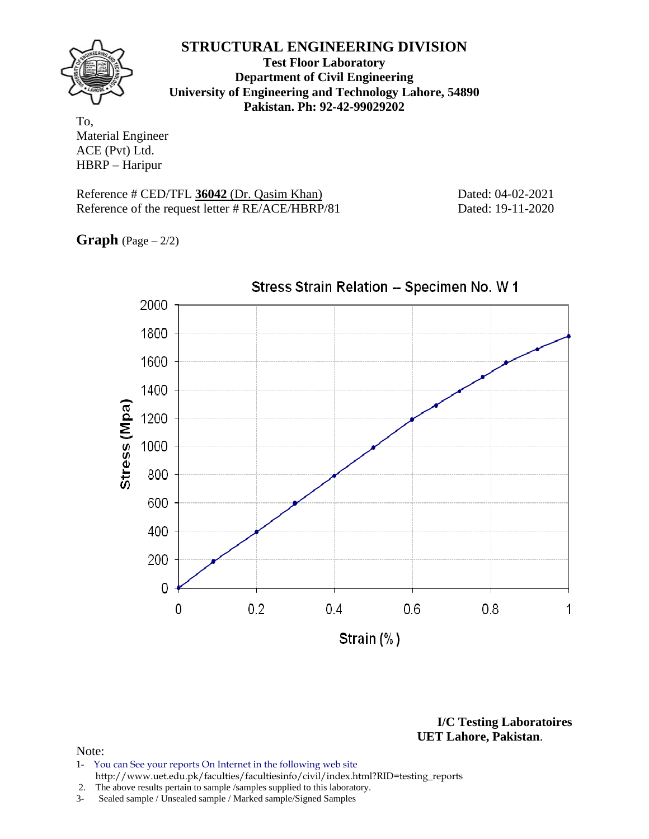

**Test Floor Laboratory Department of Civil Engineering University of Engineering and Technology Lahore, 54890 Pakistan. Ph: 92-42-99029202** 

To, Material Engineer ACE (Pvt) Ltd. HBRP – Haripur

Reference # CED/TFL 36042 (Dr. Qasim Khan) Dated: 04-02-2021 Reference of the request letter # RE/ACE/HBRP/81 Dated: 19-11-2020

**Graph** (Page – 2/2)



**I/C Testing Laboratoires UET Lahore, Pakistan**.

- 1- You can See your reports On Internet in the following web site http://www.uet.edu.pk/faculties/facultiesinfo/civil/index.html?RID=testing\_reports
- 2. The above results pertain to sample /samples supplied to this laboratory.
- 3- Sealed sample / Unsealed sample / Marked sample/Signed Samples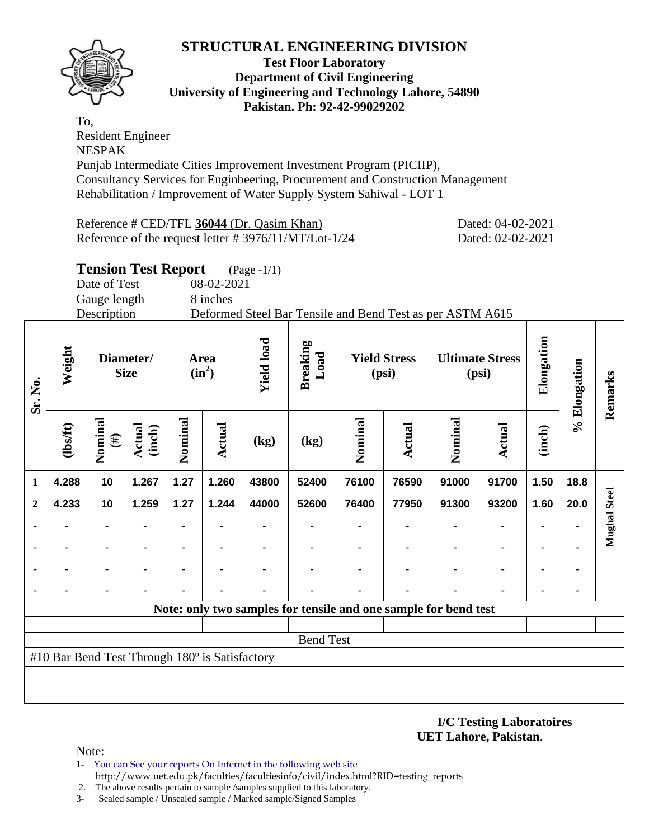

### **Test Floor Laboratory Department of Civil Engineering University of Engineering and Technology Lahore, 54890 Pakistan. Ph: 92-42-99029202**

To, Resident Engineer NESPAK Punjab Intermediate Cities Improvement Investment Program (PICIIP), Consultancy Services for Enginbeering, Procurement and Construction Management Rehabilitation / Improvement of Water Supply System Sahiwal - LOT 1

Reference # CED/TFL 36044 (Dr. Qasim Khan) Dated: 04-02-2021 Reference of the request letter # 3976/11/MT/Lot-1/24 Dated: 02-02-2021

# **Tension Test Report** (Page -1/1)

Date of Test 08-02-2021

Gauge length 8 inches

Description Deformed Steel Bar Tensile and Bend Test as per ASTM A615

| Sr. No.      | Weight                                         |                   | Diameter/<br><b>Size</b> |         | Area<br>$(in^2)$ | <b>Yield load</b> | <b>Breaking</b><br>Load                                         |         | <b>Yield Stress</b><br>(psi) |         | <b>Ultimate Stress</b><br>(psi) | Elongation     | % Elongation | Remarks      |
|--------------|------------------------------------------------|-------------------|--------------------------|---------|------------------|-------------------|-----------------------------------------------------------------|---------|------------------------------|---------|---------------------------------|----------------|--------------|--------------|
|              | (1bsft)                                        | Nominal<br>$(\#)$ | <b>Actual</b><br>(inch)  | Nominal | Actual           | (kg)              | (kg)                                                            | Nominal | Actual                       | Nominal | Actual                          | (inch)         |              |              |
| $\mathbf 1$  | 4.288                                          | 10                | 1.267                    | 1.27    | 1.260            | 43800             | 52400                                                           | 76100   | 76590                        | 91000   | 91700                           | 1.50           | 18.8         |              |
| $\mathbf{2}$ | 4.233                                          | 10                | 1.259                    | 1.27    | 1.244            | 44000             | 52600                                                           | 76400   | 77950                        | 91300   | 93200                           | 1.60           | 20.0         | Mughal Steel |
|              |                                                | $\blacksquare$    |                          | ۰       |                  |                   |                                                                 |         |                              |         | $\blacksquare$                  | ٠              |              |              |
|              |                                                | ۰                 |                          | ۰       | $\blacksquare$   |                   |                                                                 |         |                              |         | $\blacksquare$                  | ۰              |              |              |
|              |                                                | ٠                 |                          | ۰       |                  |                   |                                                                 |         |                              |         | $\blacksquare$                  | ٠              |              |              |
|              |                                                |                   |                          |         |                  |                   |                                                                 |         |                              |         |                                 | $\blacksquare$ |              |              |
|              |                                                |                   |                          |         |                  |                   | Note: only two samples for tensile and one sample for bend test |         |                              |         |                                 |                |              |              |
|              |                                                |                   |                          |         |                  |                   |                                                                 |         |                              |         |                                 |                |              |              |
|              |                                                |                   |                          |         |                  |                   | <b>Bend Test</b>                                                |         |                              |         |                                 |                |              |              |
|              | #10 Bar Bend Test Through 180° is Satisfactory |                   |                          |         |                  |                   |                                                                 |         |                              |         |                                 |                |              |              |
|              |                                                |                   |                          |         |                  |                   |                                                                 |         |                              |         |                                 |                |              |              |
|              |                                                |                   |                          |         |                  |                   |                                                                 |         |                              |         |                                 |                |              |              |

### **I/C Testing Laboratoires UET Lahore, Pakistan**.

- 1- You can See your reports On Internet in the following web site http://www.uet.edu.pk/faculties/facultiesinfo/civil/index.html?RID=testing\_reports
- 2. The above results pertain to sample /samples supplied to this laboratory.
- 3- Sealed sample / Unsealed sample / Marked sample/Signed Samples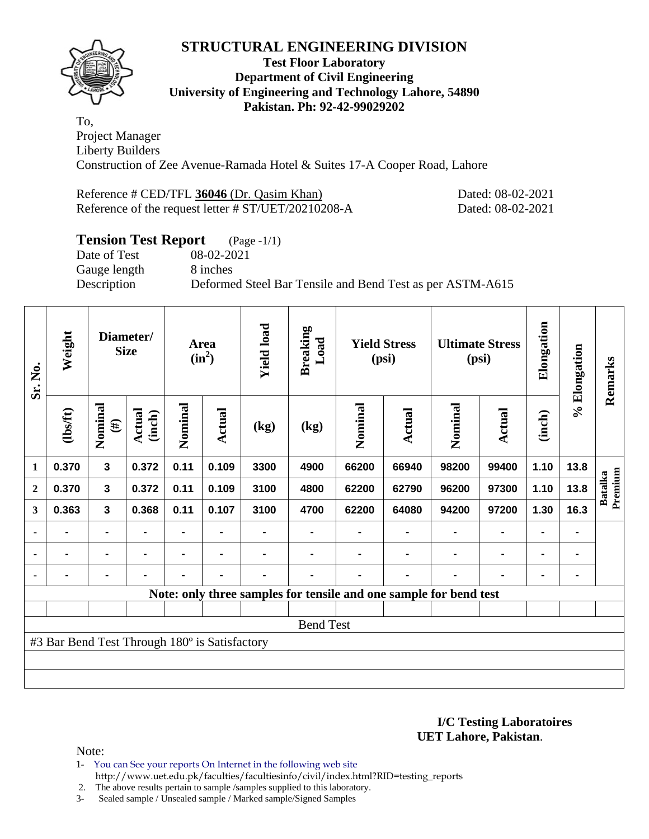

### **Test Floor Laboratory Department of Civil Engineering University of Engineering and Technology Lahore, 54890 Pakistan. Ph: 92-42-99029202**

To, Project Manager Liberty Builders Construction of Zee Avenue-Ramada Hotel & Suites 17-A Cooper Road, Lahore

| Reference # CED/TFL 36046 (Dr. Qasim Khan)          |  |
|-----------------------------------------------------|--|
| Reference of the request letter # ST/UET/20210208-A |  |

Dated: 08-02-2021 Dated: 08-02-2021

# **Tension Test Report** (Page -1/1)

Gauge length 8 inches

Date of Test 08-02-2021 Description Deformed Steel Bar Tensile and Bend Test as per ASTM-A615

| Sr. No.      | Weight                                        |                   | Diameter/<br><b>Size</b> |                | Area<br>$(in^2)$ | <b>Yield load</b> | <b>Breaking</b><br>Load |         | <b>Yield Stress</b><br>(psi)                                      |                | <b>Ultimate Stress</b><br>(psi) | Elongation     | % Elongation   | Remarks            |
|--------------|-----------------------------------------------|-------------------|--------------------------|----------------|------------------|-------------------|-------------------------|---------|-------------------------------------------------------------------|----------------|---------------------------------|----------------|----------------|--------------------|
|              | (1bsft)                                       | Nominal<br>$(\#)$ | <b>Actual</b><br>(inch)  | Nominal        | <b>Actual</b>    | (kg)              | (kg)                    | Nominal | Actual                                                            | Nominal        | <b>Actual</b>                   | (inch)         |                |                    |
| 1            | 0.370                                         | 3                 | 0.372                    | 0.11           | 0.109            | 3300              | 4900                    | 66200   | 66940                                                             | 98200          | 99400                           | 1.10           | 13.8           |                    |
| $\mathbf{2}$ | 0.370                                         | 3                 | 0.372                    | 0.11           | 0.109            | 3100              | 4800                    | 62200   | 62790                                                             | 96200          | 97300                           | 1.10           | 13.8           | Premium<br>Batalka |
| 3            | 0.363                                         | 3                 | 0.368                    | 0.11           | 0.107            | 3100              | 4700                    | 62200   | 64080                                                             | 94200          | 97200                           | 1.30           | 16.3           |                    |
|              |                                               |                   |                          |                |                  |                   |                         |         |                                                                   |                |                                 |                |                |                    |
|              |                                               |                   | $\blacksquare$           | $\blacksquare$ | $\blacksquare$   |                   |                         |         |                                                                   | $\blacksquare$ | $\blacksquare$                  | $\blacksquare$ |                |                    |
|              |                                               | $\blacksquare$    |                          | $\blacksquare$ | $\blacksquare$   |                   |                         |         | $\blacksquare$                                                    | $\blacksquare$ | ٠                               | $\blacksquare$ | $\blacksquare$ |                    |
|              |                                               |                   |                          |                |                  |                   |                         |         | Note: only three samples for tensile and one sample for bend test |                |                                 |                |                |                    |
|              |                                               |                   |                          |                |                  |                   |                         |         |                                                                   |                |                                 |                |                |                    |
|              |                                               |                   |                          |                |                  |                   | <b>Bend Test</b>        |         |                                                                   |                |                                 |                |                |                    |
|              | #3 Bar Bend Test Through 180° is Satisfactory |                   |                          |                |                  |                   |                         |         |                                                                   |                |                                 |                |                |                    |
|              |                                               |                   |                          |                |                  |                   |                         |         |                                                                   |                |                                 |                |                |                    |
|              |                                               |                   |                          |                |                  |                   |                         |         |                                                                   |                |                                 |                |                |                    |

**I/C Testing Laboratoires UET Lahore, Pakistan**.

Note:

1- You can See your reports On Internet in the following web site http://www.uet.edu.pk/faculties/facultiesinfo/civil/index.html?RID=testing\_reports

2. The above results pertain to sample /samples supplied to this laboratory.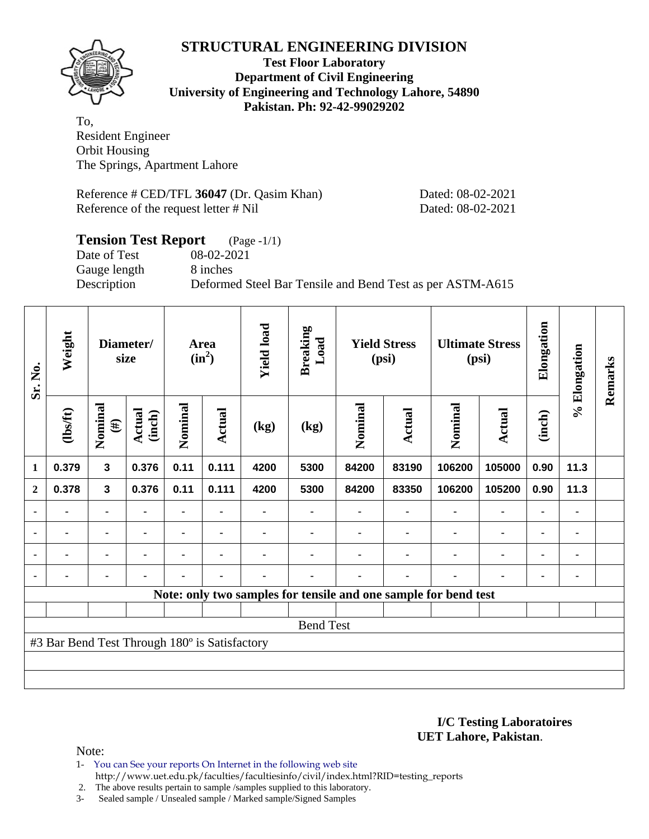

### **Test Floor Laboratory Department of Civil Engineering University of Engineering and Technology Lahore, 54890 Pakistan. Ph: 92-42-99029202**

To, Resident Engineer Orbit Housing The Springs, Apartment Lahore

Reference # CED/TFL **36047** (Dr. Qasim Khan) Dated: 08-02-2021 Reference of the request letter # Nil Dated: 08-02-2021

# **Tension Test Report** (Page -1/1)<br>Date of Test 08-02-2021 Date of Test Gauge length 8 inches Description Deformed Steel Bar Tensile and Bend Test as per ASTM-A615

| Sr. No.                  | Weight                                        |                         | Diameter/<br>size       |         | Area<br>$(in^2)$ | <b>Yield load</b> | <b>Breaking</b><br>Load |         | <b>Yield Stress</b><br>(psi) |                                                                 | <b>Ultimate Stress</b><br>(psi) | Elongation     | % Elongation | Remarks |
|--------------------------|-----------------------------------------------|-------------------------|-------------------------|---------|------------------|-------------------|-------------------------|---------|------------------------------|-----------------------------------------------------------------|---------------------------------|----------------|--------------|---------|
|                          | (1bsft)                                       | Nominal<br>$(\#)$       | <b>Actual</b><br>(inch) | Nominal | Actual           | (kg)              | (kg)                    | Nominal | Actual                       | Nominal                                                         | Actual                          | (inch)         |              |         |
| $\mathbf{1}$             | 0.379                                         | $\overline{\mathbf{3}}$ | 0.376                   | 0.11    | 0.111            | 4200              | 5300                    | 84200   | 83190                        | 106200                                                          | 105000                          | 0.90           | 11.3         |         |
| $\mathbf{2}$             | 0.378                                         | $\overline{\mathbf{3}}$ | 0.376                   | 0.11    | 0.111            | 4200              | 5300                    | 84200   | 83350                        | 106200                                                          | 105200                          | 0.90           | 11.3         |         |
| $\overline{\phantom{0}}$ |                                               | ۰                       |                         |         |                  |                   |                         |         |                              |                                                                 |                                 | $\blacksquare$ |              |         |
| ٠                        |                                               | ٠                       |                         |         |                  |                   |                         |         |                              |                                                                 |                                 | ٠              |              |         |
| $\blacksquare$           | $\blacksquare$                                |                         |                         |         | $\blacksquare$   |                   |                         |         |                              |                                                                 | $\blacksquare$                  | $\blacksquare$ |              |         |
| $\blacksquare$           | $\blacksquare$                                | $\blacksquare$          |                         |         | $\blacksquare$   | $\blacksquare$    |                         |         | ٠                            | $\blacksquare$                                                  | ۰                               | $\blacksquare$ |              |         |
|                          |                                               |                         |                         |         |                  |                   |                         |         |                              | Note: only two samples for tensile and one sample for bend test |                                 |                |              |         |
|                          |                                               |                         |                         |         |                  |                   |                         |         |                              |                                                                 |                                 |                |              |         |
|                          |                                               | <b>Bend Test</b>        |                         |         |                  |                   |                         |         |                              |                                                                 |                                 |                |              |         |
|                          | #3 Bar Bend Test Through 180° is Satisfactory |                         |                         |         |                  |                   |                         |         |                              |                                                                 |                                 |                |              |         |
|                          |                                               |                         |                         |         |                  |                   |                         |         |                              |                                                                 |                                 |                |              |         |
|                          |                                               |                         |                         |         |                  |                   |                         |         |                              |                                                                 |                                 |                |              |         |

#### **I/C Testing Laboratoires UET Lahore, Pakistan**.

- 1- You can See your reports On Internet in the following web site http://www.uet.edu.pk/faculties/facultiesinfo/civil/index.html?RID=testing\_reports
- 2. The above results pertain to sample /samples supplied to this laboratory.
- 3- Sealed sample / Unsealed sample / Marked sample/Signed Samples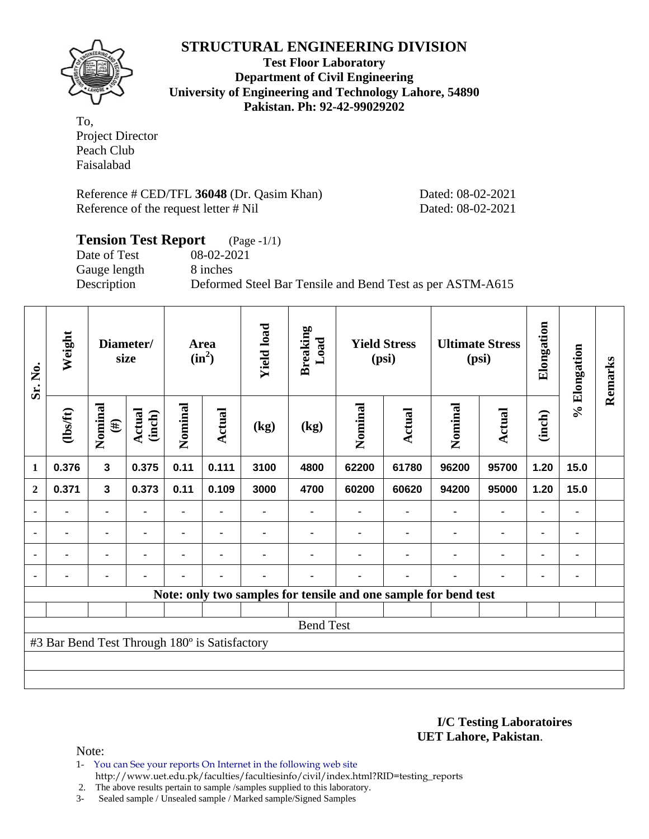

**Test Floor Laboratory Department of Civil Engineering University of Engineering and Technology Lahore, 54890 Pakistan. Ph: 92-42-99029202** 

To, Project Director Peach Club Faisalabad

Reference # CED/TFL **36048** (Dr. Qasim Khan) Dated: 08-02-2021 Reference of the request letter # Nil Dated: 08-02-2021

# **Tension Test Report** (Page -1/1) Date of Test 08-02-2021 Gauge length 8 inches Description Deformed Steel Bar Tensile and Bend Test as per ASTM-A615

| Sr. No.        | Weight                                        |                   | Diameter/<br>size       |         | Area<br>$(in^2)$ | <b>Yield load</b> | <b>Breaking</b><br>Load |         | <b>Yield Stress</b><br>(psi) |                                                                 | <b>Ultimate Stress</b><br>(psi) | Elongation | % Elongation | Remarks |
|----------------|-----------------------------------------------|-------------------|-------------------------|---------|------------------|-------------------|-------------------------|---------|------------------------------|-----------------------------------------------------------------|---------------------------------|------------|--------------|---------|
|                | (1bsft)                                       | Nominal<br>$(\#)$ | <b>Actual</b><br>(inch) | Nominal | <b>Actual</b>    | (kg)              | (kg)                    | Nominal | Actual                       | Nominal                                                         | <b>Actual</b>                   | (inch)     |              |         |
| $\mathbf{1}$   | 0.376                                         | $\mathbf{3}$      | 0.375                   | 0.11    | 0.111            | 3100              | 4800                    | 62200   | 61780                        | 96200                                                           | 95700                           | 1.20       | 15.0         |         |
| $\overline{2}$ | 0.371                                         | 3                 | 0.373                   | 0.11    | 0.109            | 3000              | 4700                    | 60200   | 60620                        | 94200                                                           | 95000                           | 1.20       | 15.0         |         |
|                |                                               | ٠                 |                         |         |                  |                   |                         |         |                              |                                                                 | ۰                               | ٠          |              |         |
| ٠              | ۰                                             | $\blacksquare$    |                         |         |                  |                   |                         |         |                              |                                                                 | $\blacksquare$                  | ۰          | ۰            |         |
| $\blacksquare$ | ۰                                             | ۰                 | $\blacksquare$          |         |                  |                   |                         |         | $\blacksquare$               | ٠                                                               | $\blacksquare$                  | ٠          |              |         |
|                | $\blacksquare$                                | $\blacksquare$    | ٠                       |         | ٠                | $\blacksquare$    |                         |         | $\blacksquare$               | ٠                                                               | $\blacksquare$                  | ۰          |              |         |
|                |                                               |                   |                         |         |                  |                   |                         |         |                              | Note: only two samples for tensile and one sample for bend test |                                 |            |              |         |
|                |                                               |                   |                         |         |                  |                   |                         |         |                              |                                                                 |                                 |            |              |         |
|                |                                               |                   |                         |         |                  |                   | <b>Bend Test</b>        |         |                              |                                                                 |                                 |            |              |         |
|                | #3 Bar Bend Test Through 180° is Satisfactory |                   |                         |         |                  |                   |                         |         |                              |                                                                 |                                 |            |              |         |
|                |                                               |                   |                         |         |                  |                   |                         |         |                              |                                                                 |                                 |            |              |         |
|                |                                               |                   |                         |         |                  |                   |                         |         |                              |                                                                 |                                 |            |              |         |

**I/C Testing Laboratoires UET Lahore, Pakistan**.

- 1- You can See your reports On Internet in the following web site http://www.uet.edu.pk/faculties/facultiesinfo/civil/index.html?RID=testing\_reports
- 2. The above results pertain to sample /samples supplied to this laboratory.
- 3- Sealed sample / Unsealed sample / Marked sample/Signed Samples